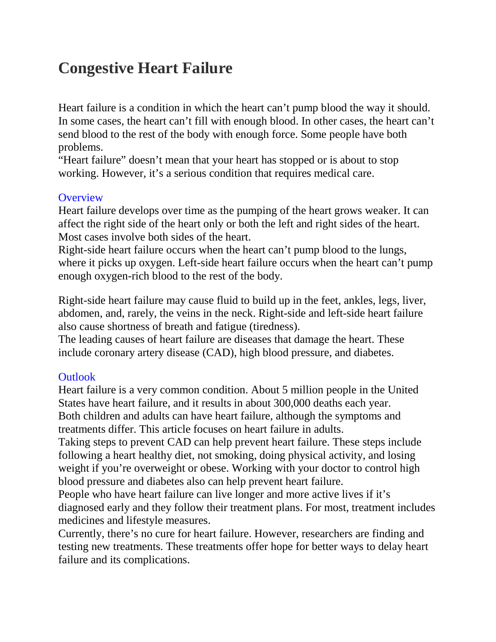# **Congestive Heart Failure**

Heart failure is a condition in which the heart can't pump blood the way it should. In some cases, the heart can't fill with enough blood. In other cases, the heart can't send blood to the rest of the body with enough force. Some people have both problems.

"Heart failure" doesn't mean that your heart has stopped or is about to stop working. However, it's a serious condition that requires medical care.

#### **Overview**

Heart failure develops over time as the pumping of the heart grows weaker. It can affect the right side of the heart only or both the left and right sides of the heart. Most cases involve both sides of the heart.

Right-side heart failure occurs when the heart can't pump blood to the lungs, where it picks up oxygen. Left-side heart failure occurs when the heart can't pump enough oxygen-rich blood to the rest of the body.

Right-side heart failure may cause fluid to build up in the feet, ankles, legs, liver, abdomen, and, rarely, the veins in the neck. Right-side and left-side heart failure also cause shortness of breath and fatigue (tiredness).

The leading causes of heart failure are diseases that damage the heart. These include coronary artery disease (CAD), high blood pressure, and diabetes.

## **Outlook**

Heart failure is a very common condition. About 5 million people in the United States have heart failure, and it results in about 300,000 deaths each year. Both children and adults can have heart failure, although the symptoms and treatments differ. This article focuses on heart failure in adults.

Taking steps to prevent CAD can help prevent heart failure. These steps include following a heart healthy diet, not smoking, doing physical activity, and losing weight if you're overweight or obese. Working with your doctor to control high blood pressure and diabetes also can help prevent heart failure.

People who have heart failure can live longer and more active lives if it's diagnosed early and they follow their treatment plans. For most, treatment includes medicines and lifestyle measures.

Currently, there's no cure for heart failure. However, researchers are finding and testing new treatments. These treatments offer hope for better ways to delay heart failure and its complications.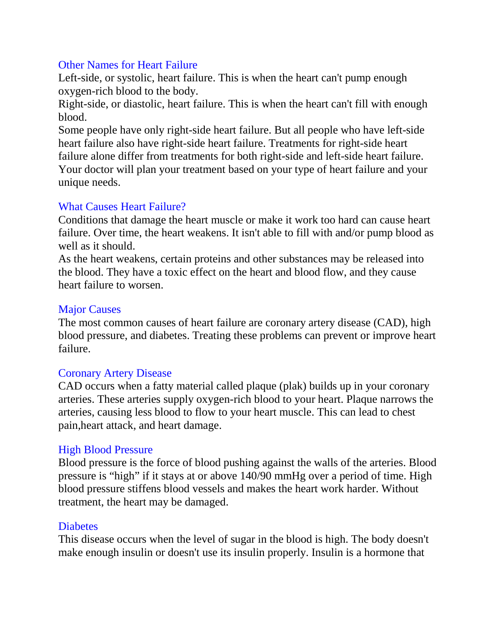#### Other Names for Heart Failure

Left-side, or systolic, heart failure. This is when the heart can't pump enough oxygen-rich blood to the body.

Right-side, or diastolic, heart failure. This is when the heart can't fill with enough blood.

Some people have only right-side heart failure. But all people who have left-side heart failure also have right-side heart failure. Treatments for right-side heart failure alone differ from treatments for both right-side and left-side heart failure. Your doctor will plan your treatment based on your type of heart failure and your unique needs.

## What Causes Heart Failure?

Conditions that damage the heart muscle or make it work too hard can cause heart failure. Over time, the heart weakens. It isn't able to fill with and/or pump blood as well as it should.

As the heart weakens, certain proteins and other substances may be released into the blood. They have a toxic effect on the heart and blood flow, and they cause heart failure to worsen.

#### **Major Causes**

The most common causes of heart failure are coronary artery disease (CAD), high blood pressure, and diabetes. Treating these problems can prevent or improve heart failure.

## Coronary Artery Disease

CAD occurs when a fatty material called plaque (plak) builds up in your coronary arteries. These arteries supply oxygen-rich blood to your heart. Plaque narrows the arteries, causing less blood to flow to your heart muscle. This can lead to chest pain,heart attack, and heart damage.

#### High Blood Pressure

Blood pressure is the force of blood pushing against the walls of the arteries. Blood pressure is "high" if it stays at or above 140/90 mmHg over a period of time. High blood pressure stiffens blood vessels and makes the heart work harder. Without treatment, the heart may be damaged.

#### **Diabetes**

This disease occurs when the level of sugar in the blood is high. The body doesn't make enough insulin or doesn't use its insulin properly. Insulin is a hormone that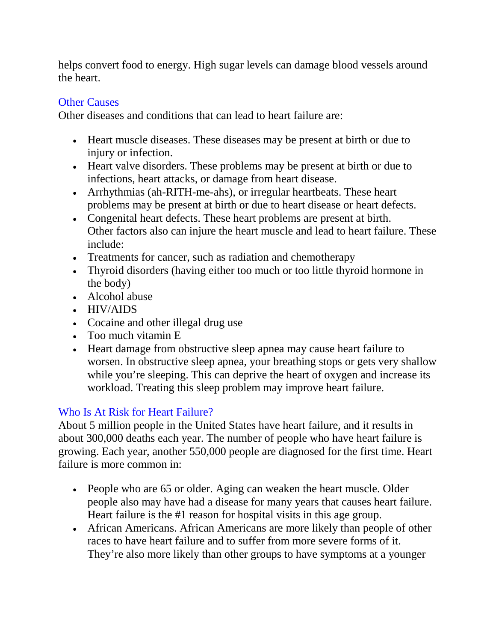helps convert food to energy. High sugar levels can damage blood vessels around the heart.

## Other Causes

Other diseases and conditions that can lead to heart failure are:

- Heart muscle diseases. These diseases may be present at birth or due to injury or infection.
- Heart valve disorders. These problems may be present at birth or due to infections, heart attacks, or damage from heart disease.
- Arrhythmias (ah-RITH-me-ahs), or irregular heartbeats. These heart problems may be present at birth or due to heart disease or heart defects.
- Congenital heart defects. These heart problems are present at birth. Other factors also can injure the heart muscle and lead to heart failure. These include:
- Treatments for cancer, such as radiation and chemotherapy
- Thyroid disorders (having either too much or too little thyroid hormone in the body)
- Alcohol abuse
- HIV/AIDS
- Cocaine and other illegal drug use
- Too much vitamin E
- Heart damage from obstructive sleep apnea may cause heart failure to worsen. In obstructive sleep apnea, your breathing stops or gets very shallow while you're sleeping. This can deprive the heart of oxygen and increase its workload. Treating this sleep problem may improve heart failure.

# Who Is At Risk for Heart Failure?

About 5 million people in the United States have heart failure, and it results in about 300,000 deaths each year. The number of people who have heart failure is growing. Each year, another 550,000 people are diagnosed for the first time. Heart failure is more common in:

- People who are 65 or older. Aging can weaken the heart muscle. Older people also may have had a disease for many years that causes heart failure. Heart failure is the #1 reason for hospital visits in this age group.
- African Americans. African Americans are more likely than people of other races to have heart failure and to suffer from more severe forms of it. They're also more likely than other groups to have symptoms at a younger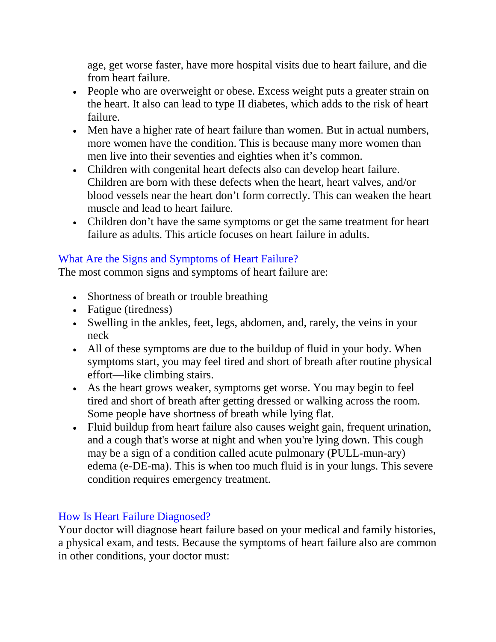age, get worse faster, have more hospital visits due to heart failure, and die from heart failure.

- People who are overweight or obese. Excess weight puts a greater strain on the heart. It also can lead to type II diabetes, which adds to the risk of heart failure.
- Men have a higher rate of heart failure than women. But in actual numbers, more women have the condition. This is because many more women than men live into their seventies and eighties when it's common.
- Children with congenital heart defects also can develop heart failure. Children are born with these defects when the heart, heart valves, and/or blood vessels near the heart don't form correctly. This can weaken the heart muscle and lead to heart failure.
- Children don't have the same symptoms or get the same treatment for heart failure as adults. This article focuses on heart failure in adults.

#### What Are the Signs and Symptoms of Heart Failure?

The most common signs and symptoms of heart failure are:

- Shortness of breath or trouble breathing
- Fatigue (tiredness)
- Swelling in the ankles, feet, legs, abdomen, and, rarely, the veins in your neck
- All of these symptoms are due to the buildup of fluid in your body. When symptoms start, you may feel tired and short of breath after routine physical effort—like climbing stairs.
- As the heart grows weaker, symptoms get worse. You may begin to feel tired and short of breath after getting dressed or walking across the room. Some people have shortness of breath while lying flat.
- Fluid buildup from heart failure also causes weight gain, frequent urination, and a cough that's worse at night and when you're lying down. This cough may be a sign of a condition called acute pulmonary (PULL-mun-ary) edema (e-DE-ma). This is when too much fluid is in your lungs. This severe condition requires emergency treatment.

## How Is Heart Failure Diagnosed?

Your doctor will diagnose heart failure based on your medical and family histories, a physical exam, and tests. Because the symptoms of heart failure also are common in other conditions, your doctor must: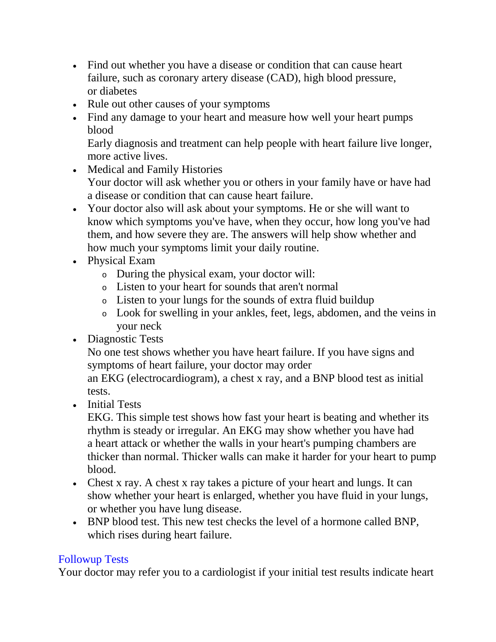- Find out whether you have a disease or condition that can cause heart failure, such as coronary artery disease (CAD), high blood pressure, or diabetes
- Rule out other causes of your symptoms
- Find any damage to your heart and measure how well your heart pumps blood

Early diagnosis and treatment can help people with heart failure live longer, more active lives.

- Medical and Family Histories Your doctor will ask whether you or others in your family have or have had a disease or condition that can cause heart failure.
- Your doctor also will ask about your symptoms. He or she will want to know which symptoms you've have, when they occur, how long you've had them, and how severe they are. The answers will help show whether and how much your symptoms limit your daily routine.
- Physical Exam
	- <sup>o</sup> During the physical exam, your doctor will:
	- <sup>o</sup> Listen to your heart for sounds that aren't normal
	- <sup>o</sup> Listen to your lungs for the sounds of extra fluid buildup
	- <sup>o</sup> Look for swelling in your ankles, feet, legs, abdomen, and the veins in your neck
- Diagnostic Tests

No one test shows whether you have heart failure. If you have signs and symptoms of heart failure, your doctor may order

an EKG (electrocardiogram), a chest x ray, and a BNP blood test as initial tests.

• Initial Tests

EKG. This simple test shows how fast your heart is beating and whether its rhythm is steady or irregular. An EKG may show whether you have had a heart attack or whether the walls in your heart's pumping chambers are thicker than normal. Thicker walls can make it harder for your heart to pump blood.

- Chest x ray. A chest x ray takes a picture of your heart and lungs. It can show whether your heart is enlarged, whether you have fluid in your lungs, or whether you have lung disease.
- BNP blood test. This new test checks the level of a hormone called BNP, which rises during heart failure.

# Followup Tests

Your doctor may refer you to a cardiologist if your initial test results indicate heart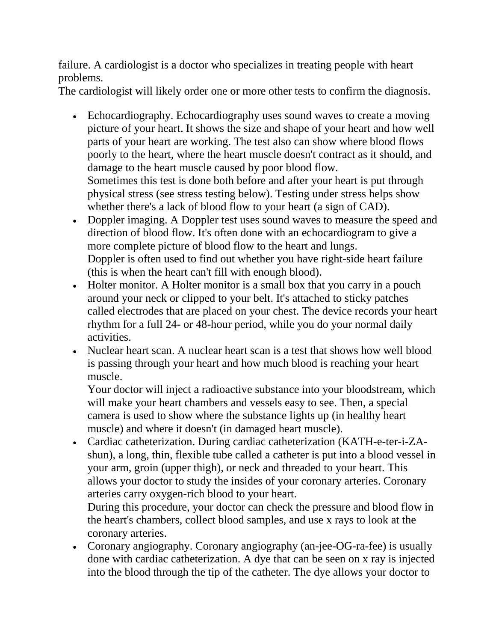failure. A cardiologist is a doctor who specializes in treating people with heart problems.

The cardiologist will likely order one or more other tests to confirm the diagnosis.

- Echocardiography. Echocardiography uses sound waves to create a moving picture of your heart. It shows the size and shape of your heart and how well parts of your heart are working. The test also can show where blood flows poorly to the heart, where the heart muscle doesn't contract as it should, and damage to the heart muscle caused by poor blood flow. Sometimes this test is done both before and after your heart is put through physical stress (see stress testing below). Testing under stress helps show whether there's a lack of blood flow to your heart (a sign of CAD).
- Doppler imaging. A Doppler test uses sound waves to measure the speed and direction of blood flow. It's often done with an echocardiogram to give a more complete picture of blood flow to the heart and lungs. Doppler is often used to find out whether you have right-side heart failure (this is when the heart can't fill with enough blood).
- Holter monitor. A Holter monitor is a small box that you carry in a pouch around your neck or clipped to your belt. It's attached to sticky patches called electrodes that are placed on your chest. The device records your heart rhythm for a full 24- or 48-hour period, while you do your normal daily activities.
- Nuclear heart scan. A nuclear heart scan is a test that shows how well blood is passing through your heart and how much blood is reaching your heart muscle.

Your doctor will inject a radioactive substance into your bloodstream, which will make your heart chambers and vessels easy to see. Then, a special camera is used to show where the substance lights up (in healthy heart muscle) and where it doesn't (in damaged heart muscle).

• Cardiac catheterization. During cardiac catheterization (KATH-e-ter-i-ZAshun), a long, thin, flexible tube called a catheter is put into a blood vessel in your arm, groin (upper thigh), or neck and threaded to your heart. This allows your doctor to study the insides of your coronary arteries. Coronary arteries carry oxygen-rich blood to your heart.

During this procedure, your doctor can check the pressure and blood flow in the heart's chambers, collect blood samples, and use x rays to look at the coronary arteries.

• Coronary angiography. Coronary angiography (an-jee-OG-ra-fee) is usually done with cardiac catheterization. A dye that can be seen on x ray is injected into the blood through the tip of the catheter. The dye allows your doctor to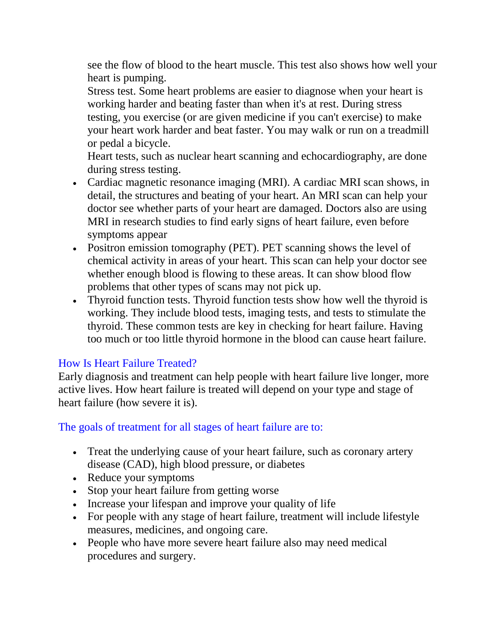see the flow of blood to the heart muscle. This test also shows how well your heart is pumping.

Stress test. Some heart problems are easier to diagnose when your heart is working harder and beating faster than when it's at rest. During stress testing, you exercise (or are given medicine if you can't exercise) to make your heart work harder and beat faster. You may walk or run on a treadmill or pedal a bicycle.

Heart tests, such as nuclear heart scanning and echocardiography, are done during stress testing.

- Cardiac magnetic resonance imaging (MRI). A cardiac MRI scan shows, in detail, the structures and beating of your heart. An MRI scan can help your doctor see whether parts of your heart are damaged. Doctors also are using MRI in research studies to find early signs of heart failure, even before symptoms appear
- Positron emission tomography (PET). PET scanning shows the level of chemical activity in areas of your heart. This scan can help your doctor see whether enough blood is flowing to these areas. It can show blood flow problems that other types of scans may not pick up.
- Thyroid function tests. Thyroid function tests show how well the thyroid is working. They include blood tests, imaging tests, and tests to stimulate the thyroid. These common tests are key in checking for heart failure. Having too much or too little thyroid hormone in the blood can cause heart failure.

# How Is Heart Failure Treated?

Early diagnosis and treatment can help people with heart failure live longer, more active lives. How heart failure is treated will depend on your type and stage of heart failure (how severe it is).

# The goals of treatment for all stages of heart failure are to:

- Treat the underlying cause of your heart failure, such as coronary artery disease (CAD), high blood pressure, or diabetes
- Reduce your symptoms
- Stop your heart failure from getting worse
- Increase your lifespan and improve your quality of life
- For people with any stage of heart failure, treatment will include lifestyle measures, medicines, and ongoing care.
- People who have more severe heart failure also may need medical procedures and surgery.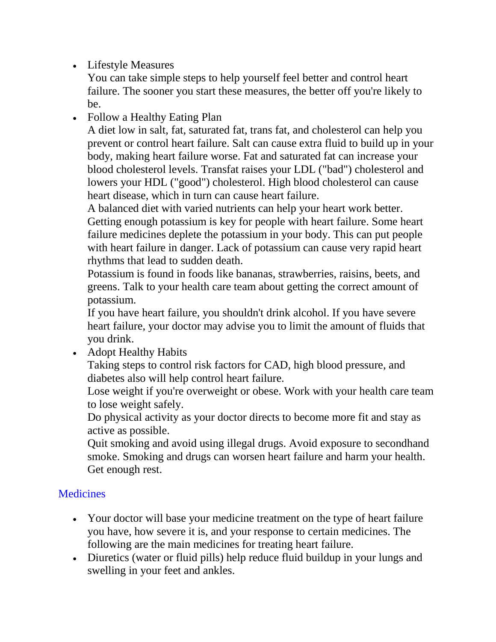• Lifestyle Measures

You can take simple steps to help yourself feel better and control heart failure. The sooner you start these measures, the better off you're likely to be.

• Follow a Healthy Eating Plan

A diet low in salt, fat, saturated fat, trans fat, and cholesterol can help you prevent or control heart failure. Salt can cause extra fluid to build up in your body, making heart failure worse. Fat and saturated fat can increase your blood cholesterol levels. Transfat raises your LDL ("bad") cholesterol and lowers your HDL ("good") cholesterol. High blood cholesterol can cause heart disease, which in turn can cause heart failure.

A balanced diet with varied nutrients can help your heart work better. Getting enough potassium is key for people with heart failure. Some heart failure medicines deplete the potassium in your body. This can put people with heart failure in danger. Lack of potassium can cause very rapid heart rhythms that lead to sudden death.

Potassium is found in foods like bananas, strawberries, raisins, beets, and greens. Talk to your health care team about getting the correct amount of potassium.

If you have heart failure, you shouldn't drink alcohol. If you have severe heart failure, your doctor may advise you to limit the amount of fluids that you drink.

• Adopt Healthy Habits

Taking steps to control risk factors for CAD, high blood pressure, and diabetes also will help control heart failure.

Lose weight if you're overweight or obese. Work with your health care team to lose weight safely.

Do physical activity as your doctor directs to become more fit and stay as active as possible.

Quit smoking and avoid using illegal drugs. Avoid exposure to secondhand smoke. Smoking and drugs can worsen heart failure and harm your health. Get enough rest.

# **Medicines**

- Your doctor will base your medicine treatment on the type of heart failure you have, how severe it is, and your response to certain medicines. The following are the main medicines for treating heart failure.
- Diuretics (water or fluid pills) help reduce fluid buildup in your lungs and swelling in your feet and ankles.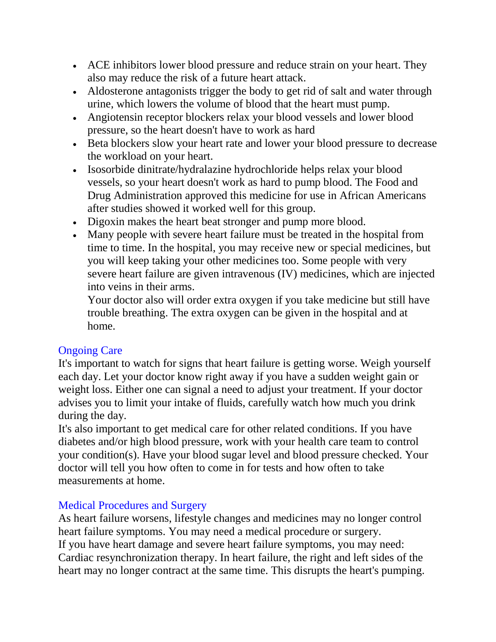- ACE inhibitors lower blood pressure and reduce strain on your heart. They also may reduce the risk of a future heart attack.
- Aldosterone antagonists trigger the body to get rid of salt and water through urine, which lowers the volume of blood that the heart must pump.
- Angiotensin receptor blockers relax your blood vessels and lower blood pressure, so the heart doesn't have to work as hard
- Beta blockers slow your heart rate and lower your blood pressure to decrease the workload on your heart.
- Isosorbide dinitrate/hydralazine hydrochloride helps relax your blood vessels, so your heart doesn't work as hard to pump blood. The Food and Drug Administration approved this medicine for use in African Americans after studies showed it worked well for this group.
- Digoxin makes the heart beat stronger and pump more blood.
- Many people with severe heart failure must be treated in the hospital from time to time. In the hospital, you may receive new or special medicines, but you will keep taking your other medicines too. Some people with very severe heart failure are given intravenous (IV) medicines, which are injected into veins in their arms.

Your doctor also will order extra oxygen if you take medicine but still have trouble breathing. The extra oxygen can be given in the hospital and at home.

## Ongoing Care

It's important to watch for signs that heart failure is getting worse. Weigh yourself each day. Let your doctor know right away if you have a sudden weight gain or weight loss. Either one can signal a need to adjust your treatment. If your doctor advises you to limit your intake of fluids, carefully watch how much you drink during the day.

It's also important to get medical care for other related conditions. If you have diabetes and/or high blood pressure, work with your health care team to control your condition(s). Have your blood sugar level and blood pressure checked. Your doctor will tell you how often to come in for tests and how often to take measurements at home.

## Medical Procedures and Surgery

As heart failure worsens, lifestyle changes and medicines may no longer control heart failure symptoms. You may need a medical procedure or surgery. If you have heart damage and severe heart failure symptoms, you may need: Cardiac resynchronization therapy. In heart failure, the right and left sides of the heart may no longer contract at the same time. This disrupts the heart's pumping.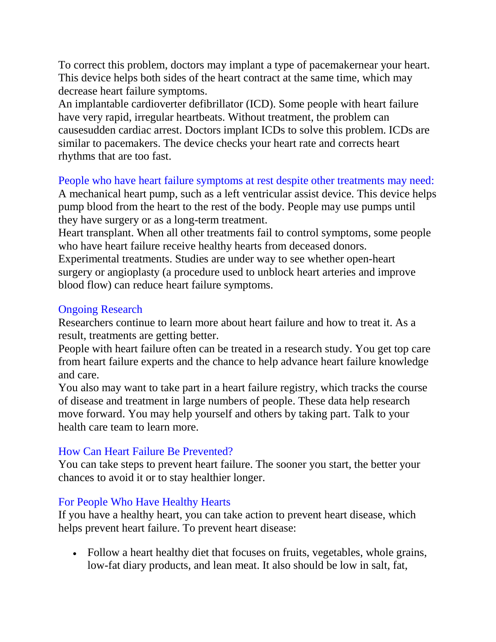To correct this problem, doctors may implant a type of pacemakernear your heart. This device helps both sides of the heart contract at the same time, which may decrease heart failure symptoms.

An implantable cardioverter defibrillator (ICD). Some people with heart failure have very rapid, irregular heartbeats. Without treatment, the problem can causesudden cardiac arrest. Doctors implant ICDs to solve this problem. ICDs are similar to pacemakers. The device checks your heart rate and corrects heart rhythms that are too fast.

## People who have heart failure symptoms at rest despite other treatments may need:

A mechanical heart pump, such as a left ventricular assist device. This device helps pump blood from the heart to the rest of the body. People may use pumps until they have surgery or as a long-term treatment.

Heart transplant. When all other treatments fail to control symptoms, some people who have heart failure receive healthy hearts from deceased donors.

Experimental treatments. Studies are under way to see whether open-heart surgery or angioplasty (a procedure used to unblock heart arteries and improve blood flow) can reduce heart failure symptoms.

#### Ongoing Research

Researchers continue to learn more about heart failure and how to treat it. As a result, treatments are getting better.

People with heart failure often can be treated in a research study. You get top care from heart failure experts and the chance to help advance heart failure knowledge and care.

You also may want to take part in a heart failure registry, which tracks the course of disease and treatment in large numbers of people. These data help research move forward. You may help yourself and others by taking part. Talk to your health care team to learn more.

## How Can Heart Failure Be Prevented?

You can take steps to prevent heart failure. The sooner you start, the better your chances to avoid it or to stay healthier longer.

## For People Who Have Healthy Hearts

If you have a healthy heart, you can take action to prevent heart disease, which helps prevent heart failure. To prevent heart disease:

• Follow a heart healthy diet that focuses on fruits, vegetables, whole grains, low-fat diary products, and lean meat. It also should be low in salt, fat,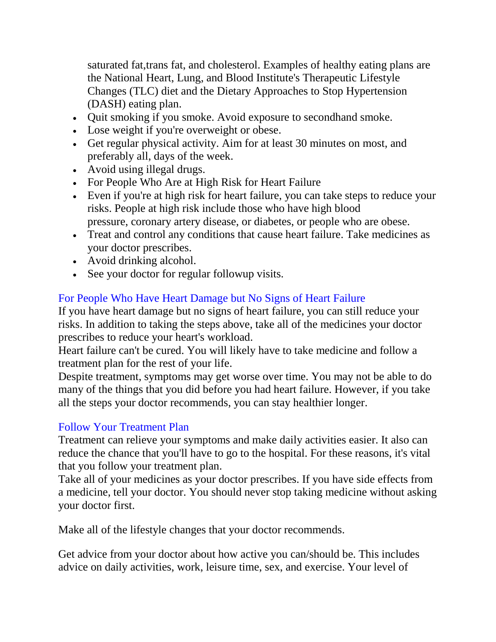saturated fat,trans fat, and cholesterol. Examples of healthy eating plans are the National Heart, Lung, and Blood Institute's Therapeutic Lifestyle Changes (TLC) diet and the Dietary Approaches to Stop Hypertension (DASH) eating plan.

- Quit smoking if you smoke. Avoid exposure to secondhand smoke.
- Lose weight if you're overweight or obese.
- Get regular physical activity. Aim for at least 30 minutes on most, and preferably all, days of the week.
- Avoid using illegal drugs.
- For People Who Are at High Risk for Heart Failure
- Even if you're at high risk for heart failure, you can take steps to reduce your risks. People at high risk include those who have high blood pressure, coronary artery disease, or diabetes, or people who are obese.
- Treat and control any conditions that cause heart failure. Take medicines as your doctor prescribes.
- Avoid drinking alcohol.
- See your doctor for regular followup visits.

# For People Who Have Heart Damage but No Signs of Heart Failure

If you have heart damage but no signs of heart failure, you can still reduce your risks. In addition to taking the steps above, take all of the medicines your doctor prescribes to reduce your heart's workload.

Heart failure can't be cured. You will likely have to take medicine and follow a treatment plan for the rest of your life.

Despite treatment, symptoms may get worse over time. You may not be able to do many of the things that you did before you had heart failure. However, if you take all the steps your doctor recommends, you can stay healthier longer.

# Follow Your Treatment Plan

Treatment can relieve your symptoms and make daily activities easier. It also can reduce the chance that you'll have to go to the hospital. For these reasons, it's vital that you follow your treatment plan.

Take all of your medicines as your doctor prescribes. If you have side effects from a medicine, tell your doctor. You should never stop taking medicine without asking your doctor first.

Make all of the lifestyle changes that your doctor recommends.

Get advice from your doctor about how active you can/should be. This includes advice on daily activities, work, leisure time, sex, and exercise. Your level of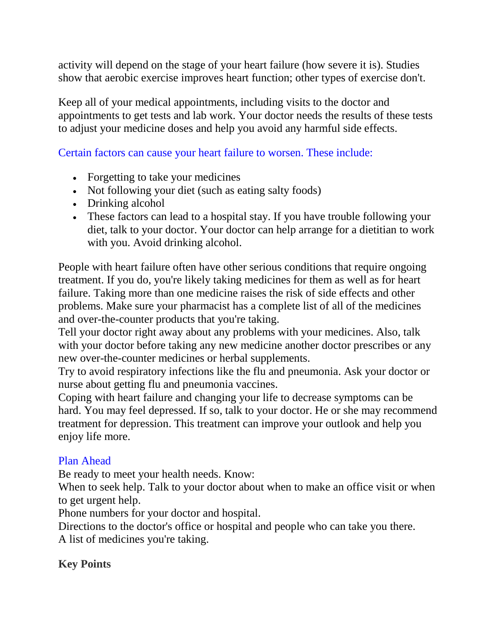activity will depend on the stage of your heart failure (how severe it is). Studies show that aerobic exercise improves heart function; other types of exercise don't.

Keep all of your medical appointments, including visits to the doctor and appointments to get tests and lab work. Your doctor needs the results of these tests to adjust your medicine doses and help you avoid any harmful side effects.

Certain factors can cause your heart failure to worsen. These include:

- Forgetting to take your medicines
- Not following your diet (such as eating salty foods)
- Drinking alcohol
- These factors can lead to a hospital stay. If you have trouble following your diet, talk to your doctor. Your doctor can help arrange for a dietitian to work with you. Avoid drinking alcohol.

People with heart failure often have other serious conditions that require ongoing treatment. If you do, you're likely taking medicines for them as well as for heart failure. Taking more than one medicine raises the risk of side effects and other problems. Make sure your pharmacist has a complete list of all of the medicines and over-the-counter products that you're taking.

Tell your doctor right away about any problems with your medicines. Also, talk with your doctor before taking any new medicine another doctor prescribes or any new over-the-counter medicines or herbal supplements.

Try to avoid respiratory infections like the flu and pneumonia. Ask your doctor or nurse about getting flu and pneumonia vaccines.

Coping with heart failure and changing your life to decrease symptoms can be hard. You may feel depressed. If so, talk to your doctor. He or she may recommend treatment for depression. This treatment can improve your outlook and help you enjoy life more.

## Plan Ahead

Be ready to meet your health needs. Know:

When to seek help. Talk to your doctor about when to make an office visit or when to get urgent help.

Phone numbers for your doctor and hospital.

Directions to the doctor's office or hospital and people who can take you there. A list of medicines you're taking.

## **Key Points**